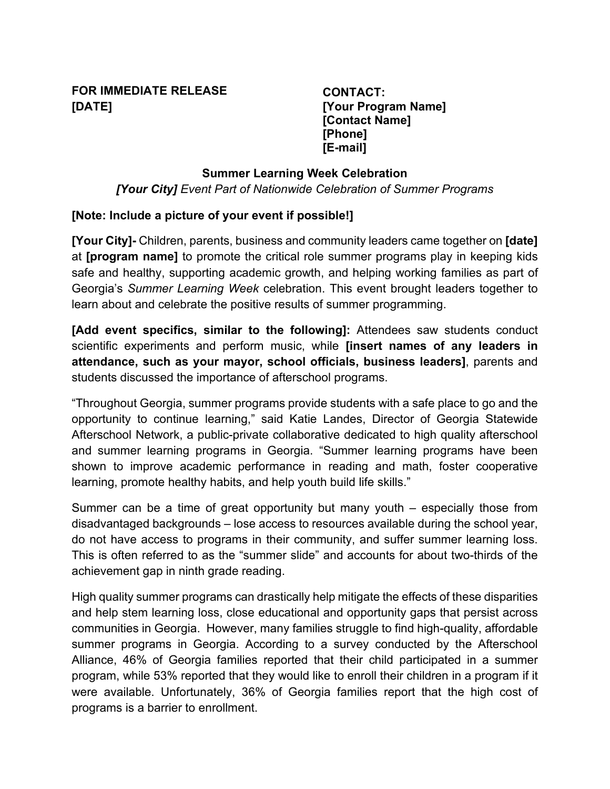# **FOR IMMEDIATE RELEASE [DATE]**

**CONTACT: [Your Program Name] [Contact Name] [Phone] [E-mail]**

### **Summer Learning Week Celebration**

*[Your City] Event Part of Nationwide Celebration of Summer Programs*

## **[Note: Include a picture of your event if possible!]**

**[Your City]-** Children, parents, business and community leaders came together on **[date]** at **[program name]** to promote the critical role summer programs play in keeping kids safe and healthy, supporting academic growth, and helping working families as part of Georgia's *Summer Learning Week* celebration. This event brought leaders together to learn about and celebrate the positive results of summer programming.

**[Add event specifics, similar to the following]:** Attendees saw students conduct scientific experiments and perform music, while **[insert names of any leaders in attendance, such as your mayor, school officials, business leaders]**, parents and students discussed the importance of afterschool programs.

"Throughout Georgia, summer programs provide students with a safe place to go and the opportunity to continue learning," said Katie Landes, Director of Georgia Statewide Afterschool Network, a public-private collaborative dedicated to high quality afterschool and summer learning programs in Georgia. "Summer learning programs have been shown to improve academic performance in reading and math, foster cooperative learning, promote healthy habits, and help youth build life skills."

Summer can be a time of great opportunity but many youth – especially those from disadvantaged backgrounds – lose access to resources available during the school year, do not have access to programs in their community, and suffer summer learning loss. This is often referred to as the "summer slide" and accounts for about two-thirds of the achievement gap in ninth grade reading.

High quality summer programs can drastically help mitigate the effects of these disparities and help stem learning loss, close educational and opportunity gaps that persist across communities in Georgia. However, many families struggle to find high-quality, affordable summer programs in Georgia. According to a survey conducted by the Afterschool Alliance, 46% of Georgia families reported that their child participated in a summer program, while 53% reported that they would like to enroll their children in a program if it were available. Unfortunately, 36% of Georgia families report that the high cost of programs is a barrier to enrollment.